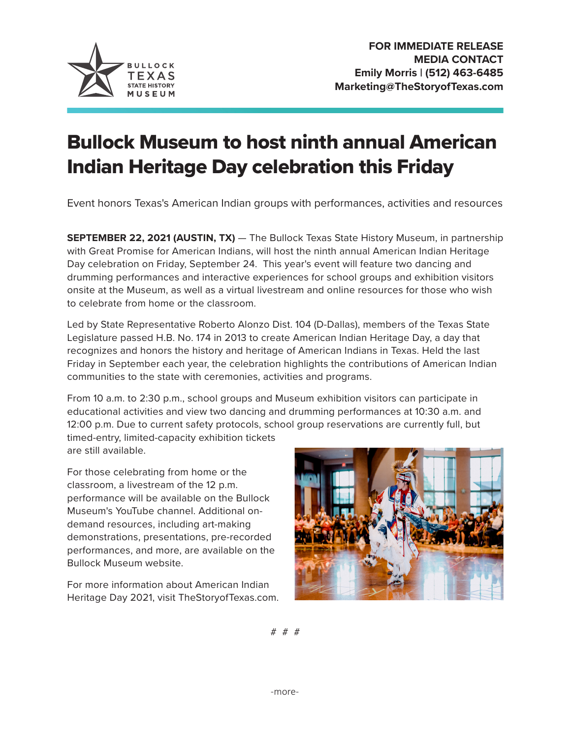

## Bullock Museum to host ninth annual American Indian Heritage Day celebration this Friday

Event honors Texas's American Indian groups with performances, activities and resources

**SEPTEMBER 22, 2021 (AUSTIN, TX)** — The Bullock Texas State History Museum, in partnership with Great Promise for American Indians, will host the ninth annual American Indian Heritage Day celebration on Friday, September 24. This year's event will feature two dancing and drumming performances and interactive experiences for school groups and exhibition visitors onsite at the Museum, as well as a virtual livestream and online resources for those who wish to celebrate from home or the classroom.

Led by State Representative Roberto Alonzo Dist. 104 (D-Dallas), members of the Texas State Legislature passed H.B. No. 174 in 2013 to create American Indian Heritage Day, a day that recognizes and honors the history and heritage of American Indians in Texas. Held the last Friday in September each year, the celebration highlights the contributions of American Indian communities to the state with ceremonies, activities and programs.

From 10 a.m. to 2:30 p.m., school groups and Museum exhibition visitors can participate in educational activities and view two dancing and drumming performances at 10:30 a.m. and 12:00 p.m. Due to current safety protocols, school group reservations are currently full, but timed-entry, limited-capacity exhibition tickets are still available.

For those celebrating from home or the classroom, a livestream of the 12 p.m. performance will be available on the Bullock Museum's YouTube channel. Additional ondemand resources, including art-making demonstrations, presentations, pre-recorded performances, and more, are available on the Bullock Museum website.

For more information about American Indian Heritage Day 2021, visit TheStoryofTexas.com.



# # #